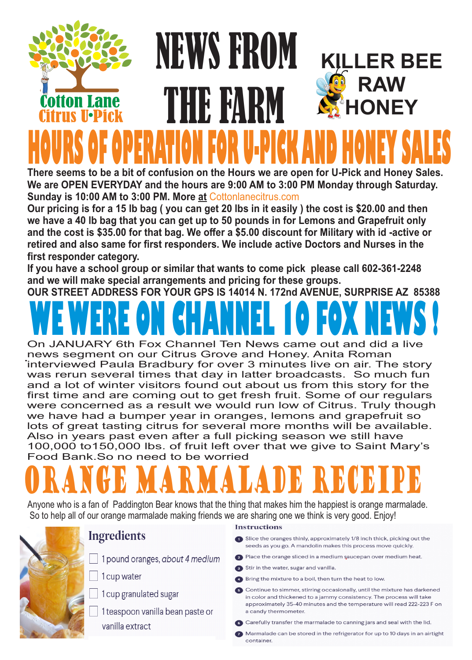### **KILLER BEE RAW HONEY** NEWS FROM THE FARM **HOURS OF OPERATION FOR U-PICK AND HONEY SALES**

**There seems to be a bit of confusion on the Hours we are open for U-Pick and Honey Sales. We are OPEN EVERYDAY and the hours are 9:00 AM to 3:00 PM Monday through Saturday. Sunday is 10:00 AM to 3:00 PM. More at** Cottonlanecitrus.com

**Our pricing is for a 15 lb bag ( you can get 20 lbs in it easily ) the cost is \$20.00 and then we have a 40 lb bag that you can get up to 50 pounds in for Lemons and Grapefruit only and the cost is \$35.00 for that bag. We offer a \$5.00 discount for Military with id -active or retired and also same for first responders. We include active Doctors and Nurses in the first responder category.**

**If you have a school group or similar that wants to come pick please call 602-361-2248 and we will make special arrangements and pricing for these groups.**

**OUR STREET ADDRESS FOR YOUR GPS IS 14014 N. 172nd AVENUE, SURPRISE AZ 85388**

# **WE WERE ON CHANNEL 10 FOX NEWS !**

news segment on our Citrus Grove and Honey. Anita Roman<br>
interviewed Beule Bredbury for ever 3 minutes live on eig. The On JANUARY 6th Fox Channel Ten News came out and did a live interviewed Paula Bradbury for over 3 minutes live on air. The story was rerun several times that day in latter broadcasts. So much fun and a lot of winter visitors found out about us from this story for the first time and are coming out to get fresh fruit. Some of our regulars were concerned as a result we would run low of Citrus. Truly though we have had a bumper year in oranges, lemons and grapefruit so lots of great tasting citrus for several more months will be available. Also in years past even after a full picking season we still have 100,000 to150,000 lbs. of fruit left over that we give to Saint Mary's Food Bank.So no need to be worried

## URANGE MARMALADE RECEIP

Anyone who is a fan of Paddington Bear knows that the thing that makes him the happiest is orange marmalade. So to help all of our orange marmalade making friends we are sharing one we think is very good. Enjoy!



#### **Ingredients**

- 1 pound oranges, about 4 medium
- 1 cup water
- 1 cup granulated sugar
- 1 teaspoon vanilla bean paste or vanilla extract

#### **Instructions**

- Slice the oranges thinly, approximately 1/8 inch thick, picking out the seeds as you go. A mandolin makes this process move quickly.
- 2 Place the orange sliced in a medium saucepan over medium heat.
- Stir in the water, sugar and vanilla.
- 4 Bring the mixture to a boil, then turn the heat to low.
- 5 Continue to simmer, stirring occasionally, until the mixture has darkened in color and thickened to a jammy consistency. The process will take approximately 35-40 minutes and the temperature will read 222-223 F on a candy thermometer.
- 6 Carefully transfer the marmalade to canning jars and seal with the lid.
- Marmalade can be stored in the refrigerator for up to 10 days in an airtight container.